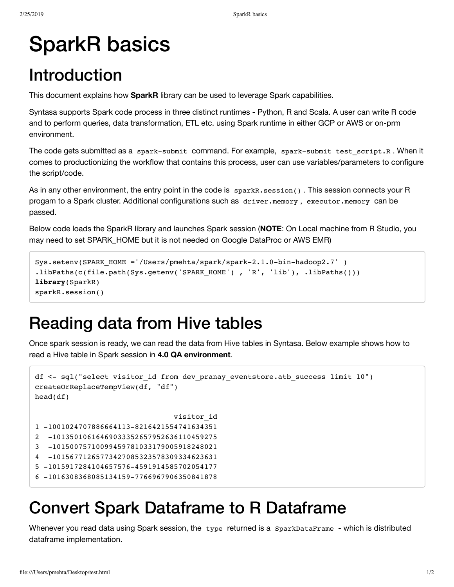# SparkR basics

# Introduction

This document explains how **SparkR** library can be used to leverage Spark capabilities.

Syntasa supports Spark code process in three distinct runtimes - Python, R and Scala. A user can write R code and to perform queries, data transformation, ETL etc. using Spark runtime in either GCP or AWS or on-prm environment.

The code gets submitted as a spark-submit command. For example, spark-submit test script.R . When it comes to productionizing the workflow that contains this process, user can use variables/parameters to configure the script/code.

As in any other environment, the entry point in the code is sparkR.session() . This session connects your R progam to a Spark cluster. Additional configurations such as driver.memory , executor.memory can be passed.

Below code loads the SparkR library and launches Spark session (**NOTE**: On Local machine from R Studio, you may need to set SPARK\_HOME but it is not needed on Google DataProc or AWS EMR)

```
Sys.setenv(SPARK_HOME ='/Users/pmehta/spark/spark-2.1.0-bin-hadoop2.7' )
.libPaths(c(file.path(Sys.getenv('SPARK_HOME'), 'R', 'lib'), .libPaths()))
library(SparkR)
sparkR.session()
```
#### Reading data from Hive tables

Once spark session is ready, we can read the data from Hive tables in Syntasa. Below example shows how to read a Hive table in Spark session in **4.0 QA environment**.

```
df <- sql("select visitor id from dev pranay eventstore.atb success limit 10")
createOrReplaceTempView(df, "df")
head(df)
                                 visitor_id
1 -1001024707886664113-8216421554741634351
2 -10135010616469033352657952636110459275
3 -10150075710099459781033179005918248021
4 -10156771265773427085323578309334623631
5 -1015917284104657576-4591914585702054177
6 -1016308368085134159-7766967906350841878
```
## Convert Spark Dataframe to R Dataframe

Whenever you read data using Spark session, the type returned is a SparkDataFrame - which is distributed dataframe implementation.